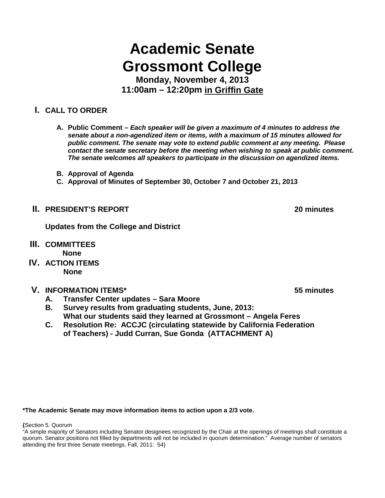# **Academic Senate Grossmont College**

**Monday, November 4, 2013 11:00am – 12:20pm in Griffin Gate**

## **I. CALL TO ORDER**

- **A. Public Comment –** *Each speaker will be given a maximum of 4 minutes to address the senate about a non-agendized item or items, with a maximum of 15 minutes allowed for public comment. The senate may vote to extend public comment at any meeting. Please contact the senate secretary before the meeting when wishing to speak at public comment. The senate welcomes all speakers to participate in the discussion on agendized items.*
- **B. Approval of Agenda**
- **C. Approval of Minutes of September 30, October 7 and October 21, 2013**
- **II. PRESIDENT'S REPORT 20 minutes**

**Updates from the College and District**

- **III. COMMITTEES None**
- **IV. ACTION ITEMS None**

### **V. INFORMATION ITEMS\* 55 minutes**

- **A. Transfer Center updates – Sara Moore**
- **B. Survey results from graduating students, June, 2013: What our students said they learned at Grossmont – Angela Feres**
- **C. Resolution Re: ACCJC (circulating statewide by California Federation of Teachers) - Judd Curran, Sue Gonda (ATTACHMENT A)**

#### **\*The Academic Senate may move information items to action upon a 2/3 vote.**

**{**Section 5. Quorum

"A simple majority of Senators including Senator designees recognized by the Chair at the openings of meetings shall constitute a quorum. Senator positions not filled by departments will not be included in quorum determination." Average number of senators attending the first three Senate meetings, Fall, 2011: 54}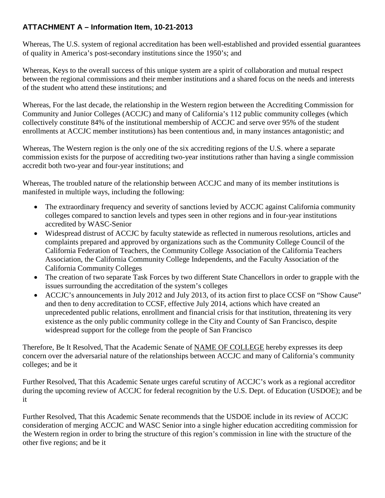## **ATTACHMENT A – Information Item, 10-21-2013**

Whereas, The U.S. system of regional accreditation has been well-established and provided essential guarantees of quality in America's post-secondary institutions since the 1950's; and

Whereas, Keys to the overall success of this unique system are a spirit of collaboration and mutual respect between the regional commissions and their member institutions and a shared focus on the needs and interests of the student who attend these institutions; and

Whereas, For the last decade, the relationship in the Western region between the Accrediting Commission for Community and Junior Colleges (ACCJC) and many of California's 112 public community colleges (which collectively constitute 84% of the institutional membership of ACCJC and serve over 95% of the student enrollments at ACCJC member institutions) has been contentious and, in many instances antagonistic; and

Whereas, The Western region is the only one of the six accrediting regions of the U.S. where a separate commission exists for the purpose of accrediting two-year institutions rather than having a single commission accredit both two-year and four-year institutions; and

Whereas, The troubled nature of the relationship between ACCJC and many of its member institutions is manifested in multiple ways, including the following:

- The extraordinary frequency and severity of sanctions levied by ACCJC against California community colleges compared to sanction levels and types seen in other regions and in four-year institutions accredited by WASC-Senior
- Widespread distrust of ACCJC by faculty statewide as reflected in numerous resolutions, articles and complaints prepared and approved by organizations such as the Community College Council of the California Federation of Teachers, the Community College Association of the California Teachers Association, the California Community College Independents, and the Faculty Association of the California Community Colleges
- The creation of two separate Task Forces by two different State Chancellors in order to grapple with the issues surrounding the accreditation of the system's colleges
- ACCJC's announcements in July 2012 and July 2013, of its action first to place CCSF on "Show Cause" and then to deny accreditation to CCSF, effective July 2014, actions which have created an unprecedented public relations, enrollment and financial crisis for that institution, threatening its very existence as the only public community college in the City and County of San Francisco, despite widespread support for the college from the people of San Francisco

Therefore, Be It Resolved, That the Academic Senate of NAME OF COLLEGE hereby expresses its deep concern over the adversarial nature of the relationships between ACCJC and many of California's community colleges; and be it

Further Resolved, That this Academic Senate urges careful scrutiny of ACCJC's work as a regional accreditor during the upcoming review of ACCJC for federal recognition by the U.S. Dept. of Education (USDOE); and be it

Further Resolved, That this Academic Senate recommends that the USDOE include in its review of ACCJC consideration of merging ACCJC and WASC Senior into a single higher education accrediting commission for the Western region in order to bring the structure of this region's commission in line with the structure of the other five regions; and be it